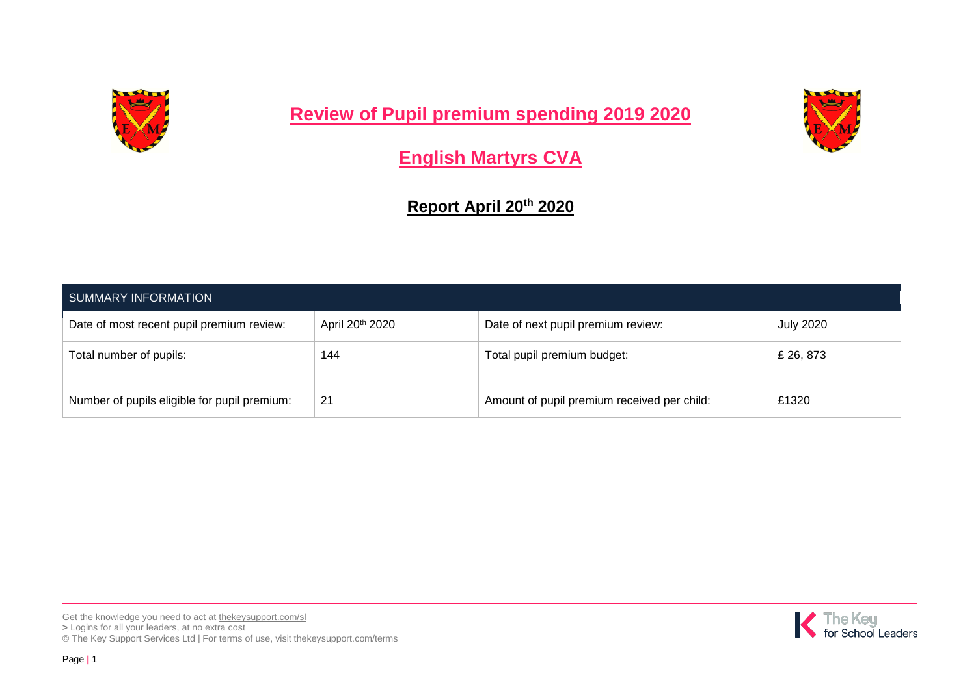

**Review of Pupil premium spending 2019 2020**



**English Martyrs CVA**

**Report April 20th 2020**

| <b>SUMMARY INFORMATION</b>                   |                             |                                             |                  |  |
|----------------------------------------------|-----------------------------|---------------------------------------------|------------------|--|
| Date of most recent pupil premium review:    | April 20 <sup>th</sup> 2020 | Date of next pupil premium review:          | <b>July 2020</b> |  |
| Total number of pupils:                      | 144                         | Total pupil premium budget:                 | £ 26, 873        |  |
| Number of pupils eligible for pupil premium: | 21                          | Amount of pupil premium received per child: | £1320            |  |

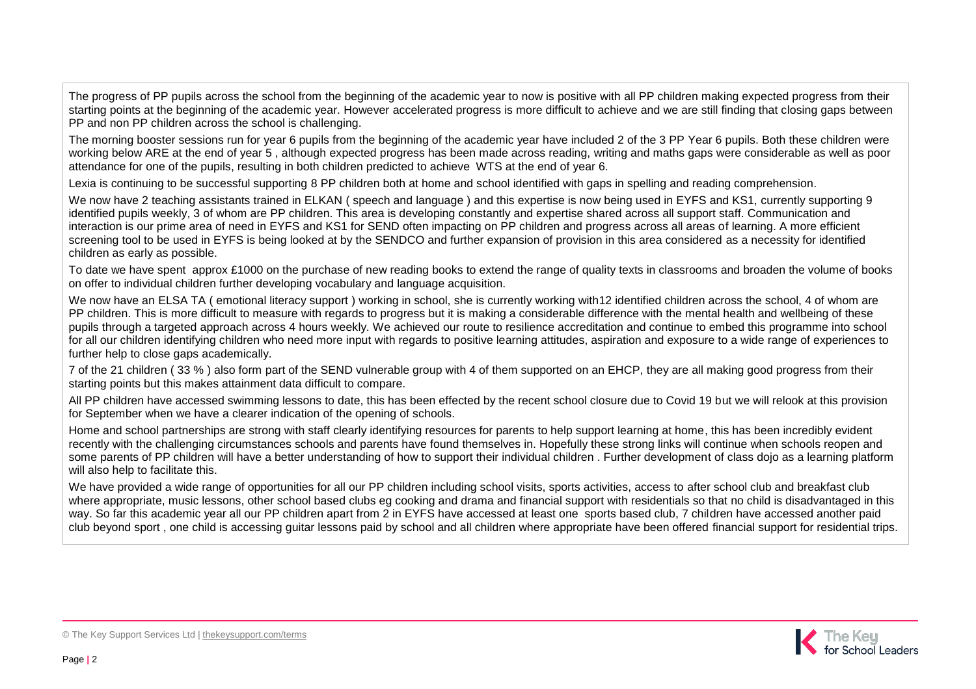The progress of PP pupils across the school from the beginning of the academic year to now is positive with all PP children making expected progress from their starting points at the beginning of the academic year. However accelerated progress is more difficult to achieve and we are still finding that closing gaps between PP and non PP children across the school is challenging.

The morning booster sessions run for year 6 pupils from the beginning of the academic year have included 2 of the 3 PP Year 6 pupils. Both these children were working below ARE at the end of year 5 , although expected progress has been made across reading, writing and maths gaps were considerable as well as poor attendance for one of the pupils, resulting in both children predicted to achieve WTS at the end of year 6.

Lexia is continuing to be successful supporting 8 PP children both at home and school identified with gaps in spelling and reading comprehension.

We now have 2 teaching assistants trained in ELKAN (speech and language) and this expertise is now being used in EYFS and KS1, currently supporting 9 identified pupils weekly, 3 of whom are PP children. This area is developing constantly and expertise shared across all support staff. Communication and interaction is our prime area of need in EYFS and KS1 for SEND often impacting on PP children and progress across all areas of learning. A more efficient screening tool to be used in EYFS is being looked at by the SENDCO and further expansion of provision in this area considered as a necessity for identified children as early as possible.

To date we have spent approx £1000 on the purchase of new reading books to extend the range of quality texts in classrooms and broaden the volume of books on offer to individual children further developing vocabulary and language acquisition.

We now have an ELSA TA ( emotional literacy support ) working in school, she is currently working with12 identified children across the school, 4 of whom are PP children. This is more difficult to measure with regards to progress but it is making a considerable difference with the mental health and wellbeing of these pupils through a targeted approach across 4 hours weekly. We achieved our route to resilience accreditation and continue to embed this programme into school for all our children identifying children who need more input with regards to positive learning attitudes, aspiration and exposure to a wide range of experiences to further help to close gaps academically.

7 of the 21 children ( 33 % ) also form part of the SEND vulnerable group with 4 of them supported on an EHCP, they are all making good progress from their starting points but this makes attainment data difficult to compare.

All PP children have accessed swimming lessons to date, this has been effected by the recent school closure due to Covid 19 but we will relook at this provision for September when we have a clearer indication of the opening of schools.

Home and school partnerships are strong with staff clearly identifying resources for parents to help support learning at home, this has been incredibly evident recently with the challenging circumstances schools and parents have found themselves in. Hopefully these strong links will continue when schools reopen and some parents of PP children will have a better understanding of how to support their individual children. Further development of class dojo as a learning platform will also help to facilitate this.

We have provided a wide range of opportunities for all our PP children including school visits, sports activities, access to after school club and breakfast club where appropriate, music lessons, other school based clubs eg cooking and drama and financial support with residentials so that no child is disadvantaged in this way. So far this academic year all our PP children apart from 2 in EYFS have accessed at least one sports based club, 7 children have accessed another paid club beyond sport , one child is accessing guitar lessons paid by school and all children where appropriate have been offered financial support for residential trips.

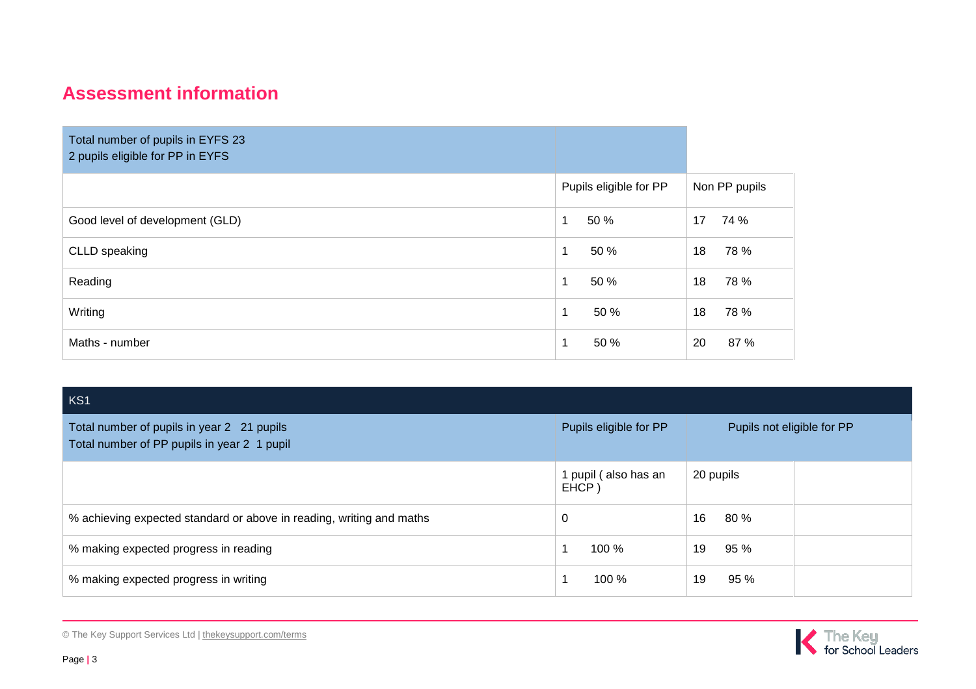## **Assessment information**

| Total number of pupils in EYFS 23<br>2 pupils eligible for PP in EYFS |                        |               |
|-----------------------------------------------------------------------|------------------------|---------------|
|                                                                       | Pupils eligible for PP | Non PP pupils |
| Good level of development (GLD)                                       | 1<br>50 %              | 74 %<br>17    |
| CLLD speaking                                                         | $\mathbf 1$<br>50 %    | 78 %<br>18    |
| Reading                                                               | $\mathbf 1$<br>50 %    | 18<br>78 %    |
| Writing                                                               | 1<br>50 %              | 18<br>78 %    |
| Maths - number                                                        | 50 %<br>1              | 20<br>87 %    |

| KS1                                                                                       |                               |                            |  |
|-------------------------------------------------------------------------------------------|-------------------------------|----------------------------|--|
| Total number of pupils in year 2 21 pupils<br>Total number of PP pupils in year 2 1 pupil | Pupils eligible for PP        | Pupils not eligible for PP |  |
|                                                                                           | 1 pupil (also has an<br>EHCP) | 20 pupils                  |  |
| % achieving expected standard or above in reading, writing and maths                      | 0                             | 80 %<br>16                 |  |
| % making expected progress in reading                                                     | 100 %                         | 95%<br>19                  |  |
| % making expected progress in writing                                                     | 100 %                         | 95 %<br>19                 |  |

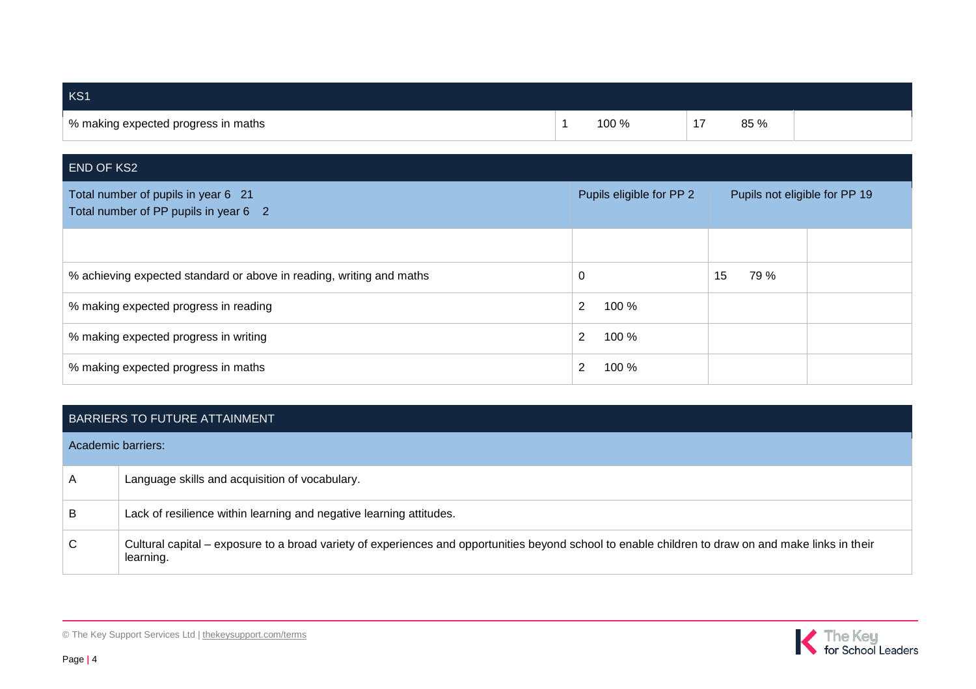| KS1                                        |       |                          |      |  |
|--------------------------------------------|-------|--------------------------|------|--|
| $\mid$ % making expected progress in maths | 100 % | $\overline{\phantom{a}}$ | 85 % |  |

| <b>END OF KS2</b>                                                            |                          |                               |  |  |
|------------------------------------------------------------------------------|--------------------------|-------------------------------|--|--|
| Total number of pupils in year 6 21<br>Total number of PP pupils in year 6 2 | Pupils eligible for PP 2 | Pupils not eligible for PP 19 |  |  |
|                                                                              |                          |                               |  |  |
| % achieving expected standard or above in reading, writing and maths         | 0                        | 15<br>79 %                    |  |  |
| % making expected progress in reading                                        | 2<br>100 %               |                               |  |  |
| % making expected progress in writing                                        | 2<br>100 %               |                               |  |  |
| % making expected progress in maths                                          | 100 %<br>2               |                               |  |  |

## BARRIERS TO FUTURE ATTAINMENT

| Academic barriers: |                                                                                                                                                                  |
|--------------------|------------------------------------------------------------------------------------------------------------------------------------------------------------------|
| A                  | Language skills and acquisition of vocabulary.                                                                                                                   |
| B                  | Lack of resilience within learning and negative learning attitudes.                                                                                              |
| C                  | Cultural capital – exposure to a broad variety of experiences and opportunities beyond school to enable children to draw on and make links in their<br>learning. |



© The Key Support Services Ltd | [thekeysupport.com/terms](https://thekeysupport.com/terms-of-use)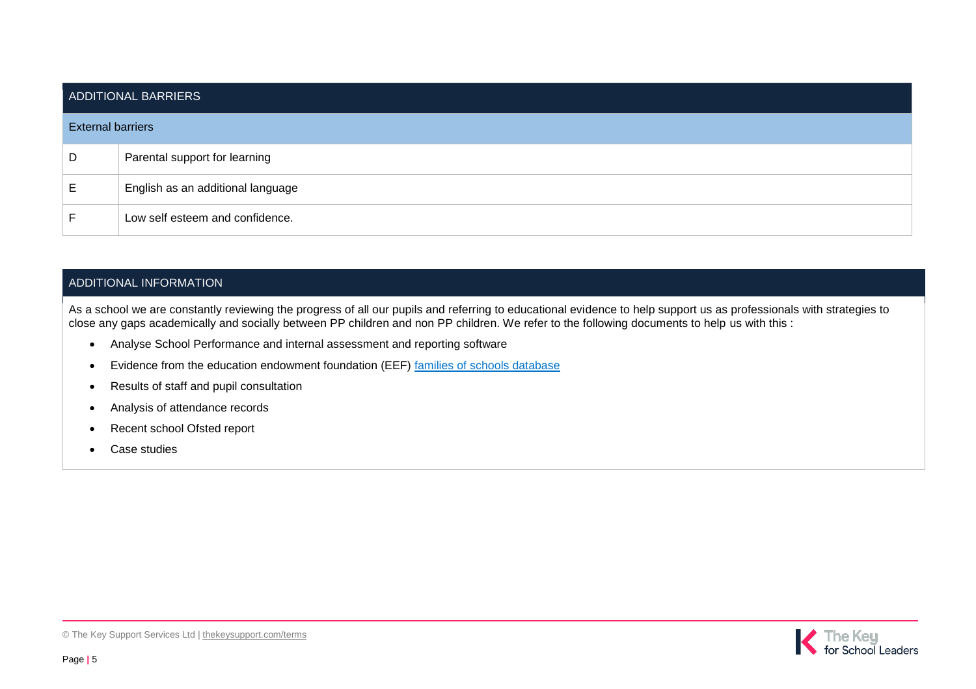| ADDITIONAL BARRIERS      |                                   |  |  |
|--------------------------|-----------------------------------|--|--|
| <b>External barriers</b> |                                   |  |  |
| D                        | Parental support for learning     |  |  |
| E                        | English as an additional language |  |  |
|                          | Low self esteem and confidence.   |  |  |

## ADDITIONAL INFORMATION

As a school we are constantly reviewing the progress of all our pupils and referring to educational evidence to help support us as professionals with strategies to close any gaps academically and socially between PP children and non PP children. We refer to the following documents to help us with this :

- Analyse School Performance and internal assessment and reporting software
- Evidence from the education endowment foundation (EEF) [families of schools database](https://educationendowmentfoundation.org.uk/tools/families-of-schools-database)
- Results of staff and pupil consultation
- Analysis of attendance records
- Recent school Ofsted report
- Case studies